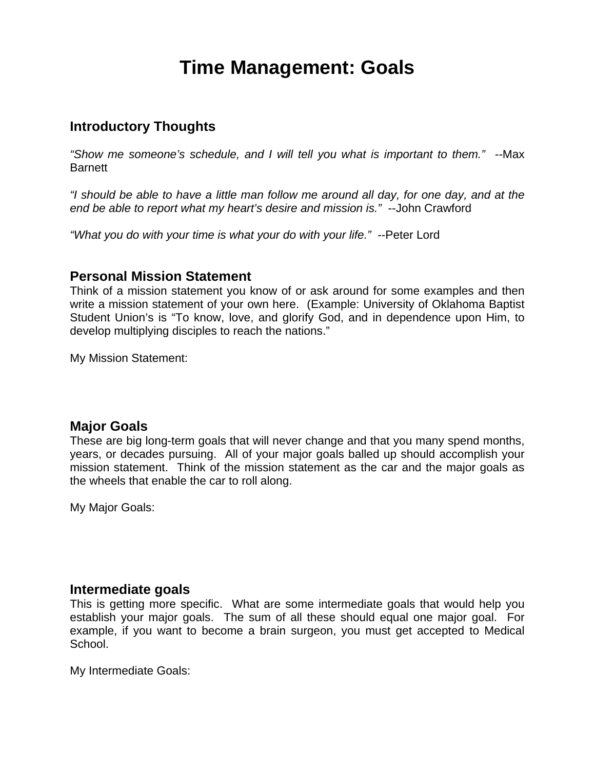# **Time Management: Goals**

## **Introductory Thoughts**

*"Show me someone's schedule, and I will tell you what is important to them." --*Max Barnett

*"I should be able to have a little man follow me around all day, for one day, and at the end be able to report what my heart's desire and mission is."* --John Crawford

*"What you do with your time is what your do with your life."* --Peter Lord

## **Personal Mission Statement**

Think of a mission statement you know of or ask around for some examples and then write a mission statement of your own here. (Example: University of Oklahoma Baptist Student Union's is "To know, love, and glorify God, and in dependence upon Him, to develop multiplying disciples to reach the nations."

My Mission Statement:

## **Major Goals**

These are big long-term goals that will never change and that you many spend months, years, or decades pursuing. All of your major goals balled up should accomplish your mission statement. Think of the mission statement as the car and the major goals as the wheels that enable the car to roll along.

My Major Goals:

## **Intermediate goals**

This is getting more specific. What are some intermediate goals that would help you establish your major goals. The sum of all these should equal one major goal. For example, if you want to become a brain surgeon, you must get accepted to Medical School.

My Intermediate Goals: